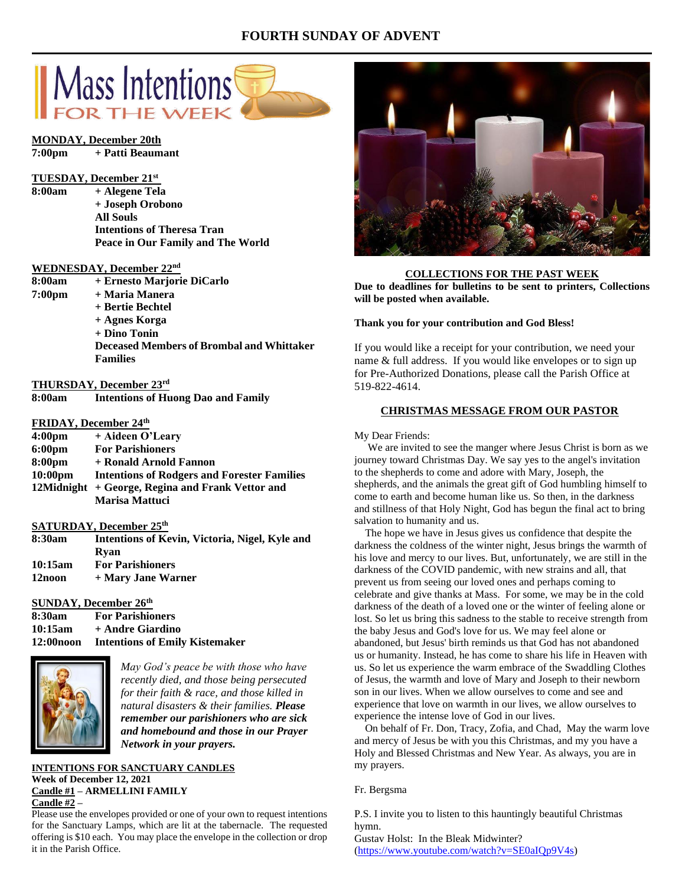# **FOURTH SUNDAY OF ADVENT**



### **MONDAY, December 20th**

```
7:00pm + Patti Beaumant
```
#### **TUESDAY, December 21st**

**8:00am + Alegene Tela + Joseph Orobono All Souls Intentions of Theresa Tran Peace in Our Family and The World**

#### **WEDNESDAY, December 22nd**

| 8:00am | + Ernesto Marjorie DiCarlo                       |
|--------|--------------------------------------------------|
| 7:00pm | + Maria Manera                                   |
|        | + Bertie Bechtel                                 |
|        | + Agnes Korga                                    |
|        | $+$ Dino Tonin                                   |
|        | <b>Deceased Members of Brombal and Whittaker</b> |
|        | <b>Families</b>                                  |

**THURSDAY, December 23rd 8:00am Intentions of Huong Dao and Family**

## **FRIDAY, December 24th**

| 4:00 <sub>pm</sub> | + Aideen O'Learv                                   |
|--------------------|----------------------------------------------------|
| 6:00 <sub>pm</sub> | <b>For Parishioners</b>                            |
| 8:00pm             | + Ronald Arnold Fannon                             |
| $10:00 \text{pm}$  | <b>Intentions of Rodgers and Forester Families</b> |
|                    | 12Midnight + George, Regina and Frank Vettor and   |
|                    | <b>Marisa Mattuci</b>                              |

# **SATURDAY, December 25th**

| 8:30am  | Intentions of Kevin, Victoria, Nigel, Kyle and |
|---------|------------------------------------------------|
|         | Rvan                                           |
| 10:15am | <b>For Parishioners</b>                        |
| 12noon  | + Mary Jane Warner                             |

### **SUNDAY, December 26 th**

| 8:30am     | <b>For Parishioners</b>               |
|------------|---------------------------------------|
| 10:15am    | + Andre Giardino                      |
| 12:00 noon | <b>Intentions of Emily Kistemaker</b> |



*May God's peace be with those who have recently died, and those being persecuted for their faith & race, and those killed in natural disasters & their families. Please remember our parishioners who are sick and homebound and those in our Prayer Network in your prayers.*

## **INTENTIONS FOR SANCTUARY CANDLES Week of December 12, 2021 Candle #1 – ARMELLINI FAMILY Candle #2 –**

Please use the envelopes provided or one of your own to request intentions for the Sanctuary Lamps, which are lit at the tabernacle. The requested offering is \$10 each. You may place the envelope in the collection or drop it in the Parish Office.



#### **COLLECTIONS FOR THE PAST WEEK**

**Due to deadlines for bulletins to be sent to printers, Collections will be posted when available.** 

#### **Thank you for your contribution and God Bless!**

If you would like a receipt for your contribution, we need your name & full address. If you would like envelopes or to sign up for Pre-Authorized Donations, please call the Parish Office at 519-822-4614.

## **CHRISTMAS MESSAGE FROM OUR PASTOR**

#### My Dear Friends:

 We are invited to see the manger where Jesus Christ is born as we journey toward Christmas Day. We say yes to the angel's invitation to the shepherds to come and adore with Mary, Joseph, the shepherds, and the animals the great gift of God humbling himself to come to earth and become human like us. So then, in the darkness and stillness of that Holy Night, God has begun the final act to bring salvation to humanity and us.

 The hope we have in Jesus gives us confidence that despite the darkness the coldness of the winter night, Jesus brings the warmth of his love and mercy to our lives. But, unfortunately, we are still in the darkness of the COVID pandemic, with new strains and all, that prevent us from seeing our loved ones and perhaps coming to celebrate and give thanks at Mass. For some, we may be in the cold darkness of the death of a loved one or the winter of feeling alone or lost. So let us bring this sadness to the stable to receive strength from the baby Jesus and God's love for us. We may feel alone or abandoned, but Jesus' birth reminds us that God has not abandoned us or humanity. Instead, he has come to share his life in Heaven with us. So let us experience the warm embrace of the Swaddling Clothes of Jesus, the warmth and love of Mary and Joseph to their newborn son in our lives. When we allow ourselves to come and see and experience that love on warmth in our lives, we allow ourselves to experience the intense love of God in our lives.

 On behalf of Fr. Don, Tracy, Zofia, and Chad, May the warm love and mercy of Jesus be with you this Christmas, and my you have a Holy and Blessed Christmas and New Year. As always, you are in my prayers.

#### Fr. Bergsma

P.S. I invite you to listen to this hauntingly beautiful Christmas hymn.

Gustav Holst: In the Bleak Midwinter? [\(https://www.youtube.com/watch?v=SE0aIQp9V4s\)](https://www.youtube.com/watch?v=SE0aIQp9V4s)